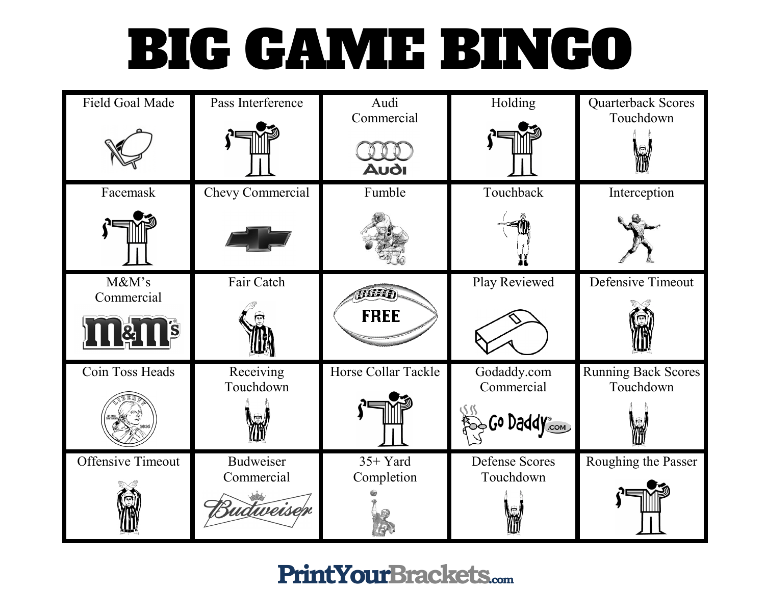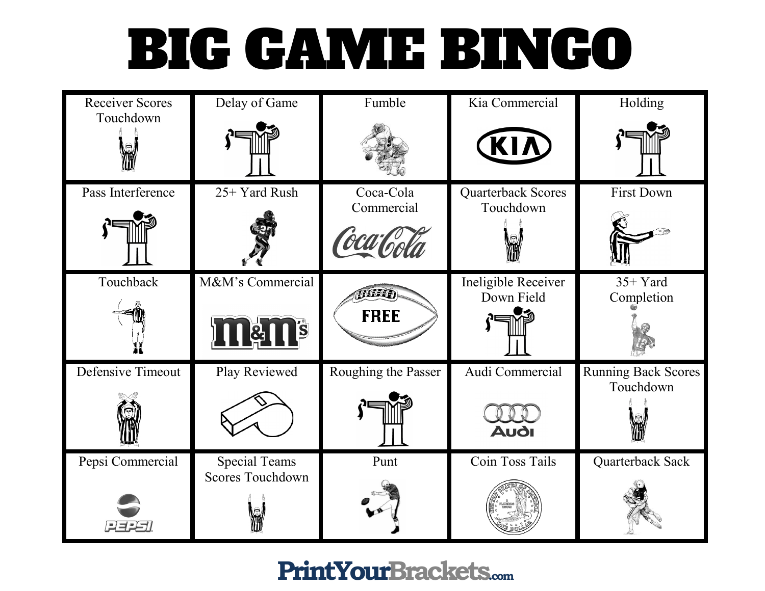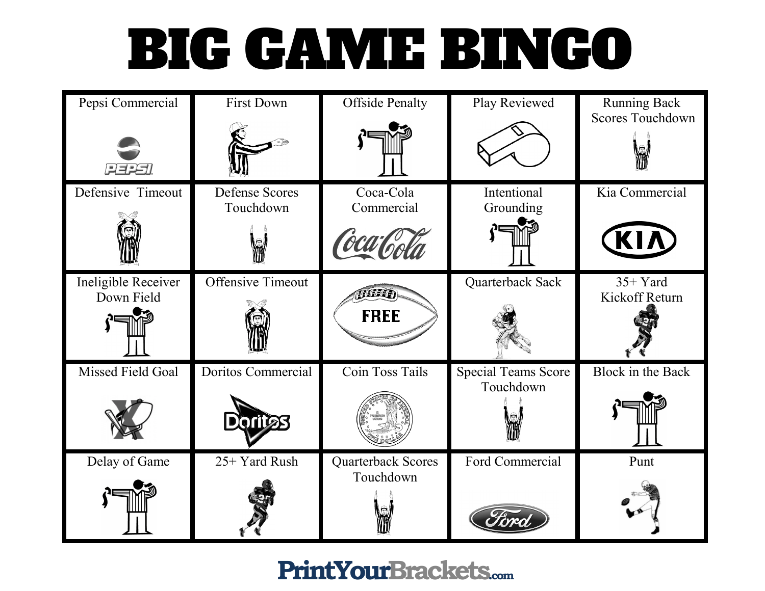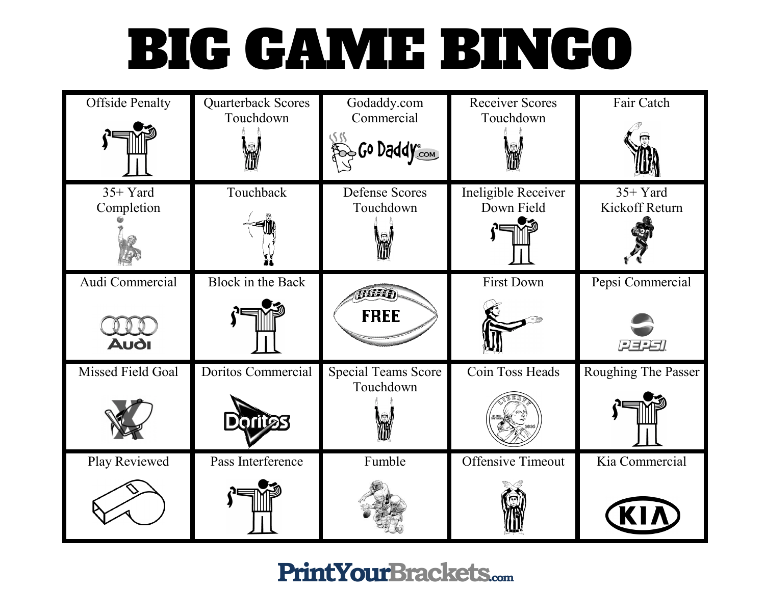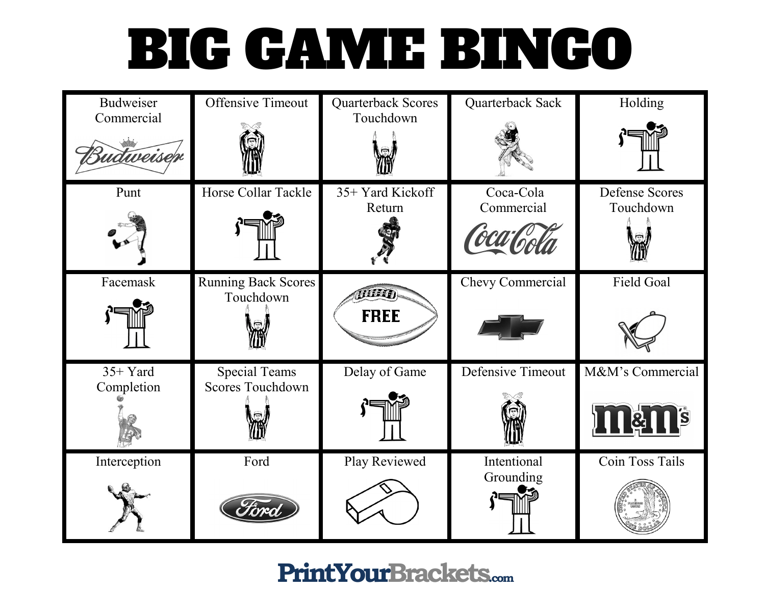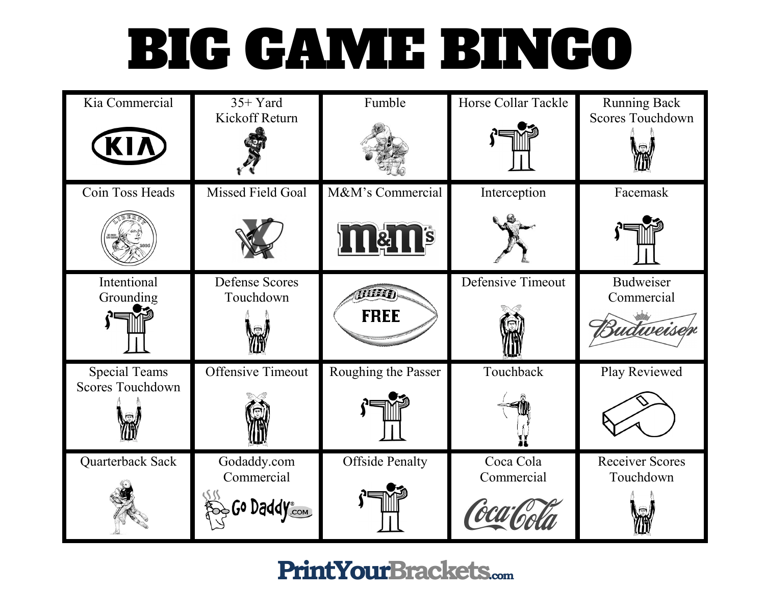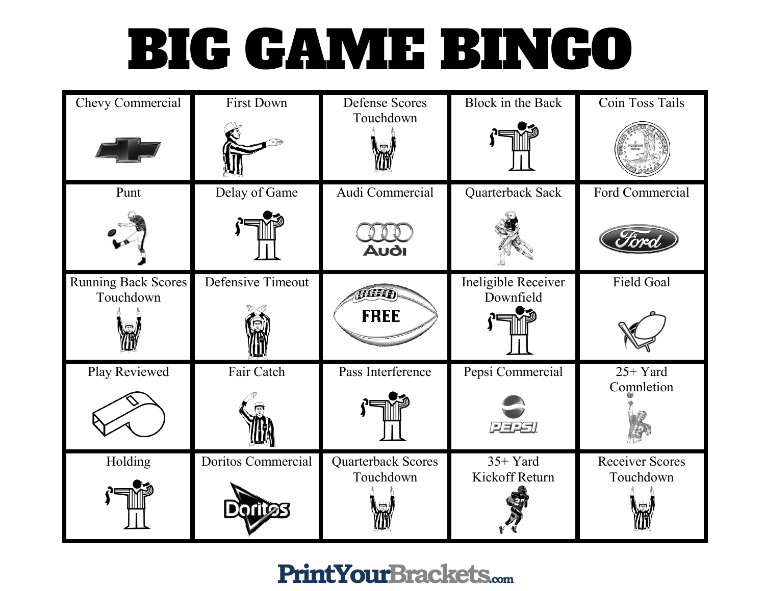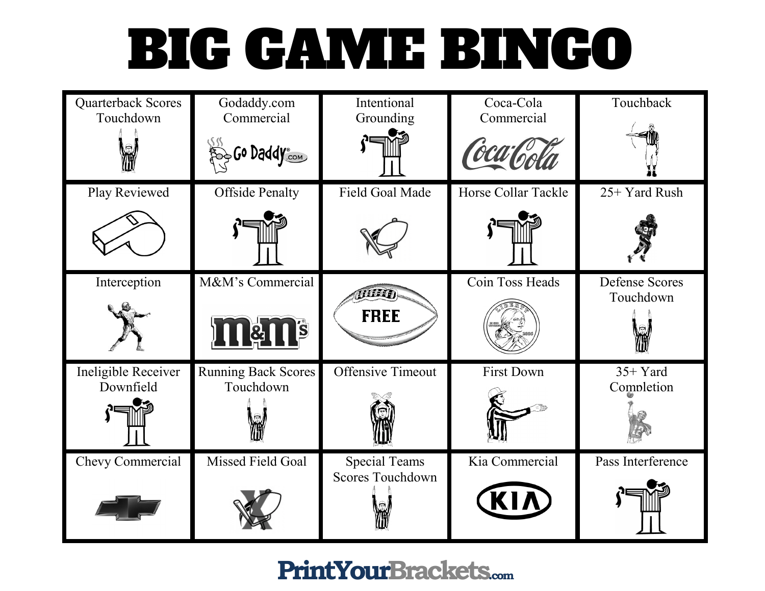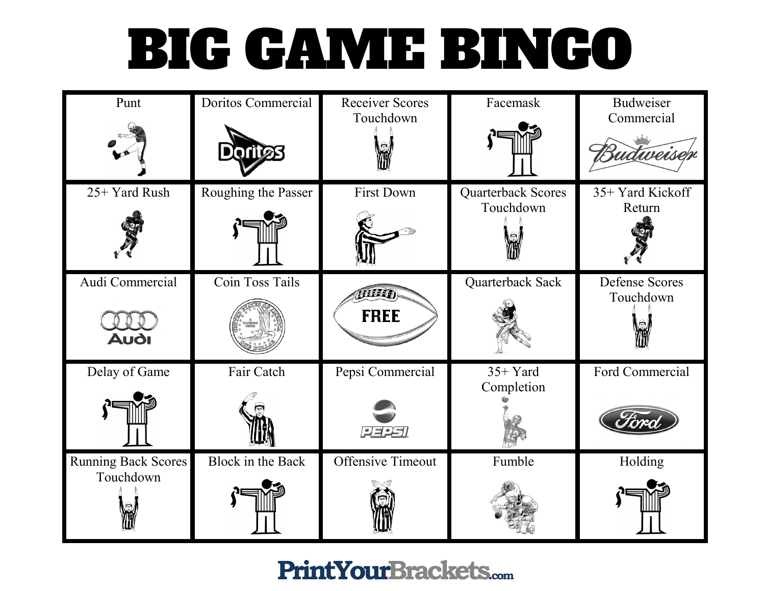